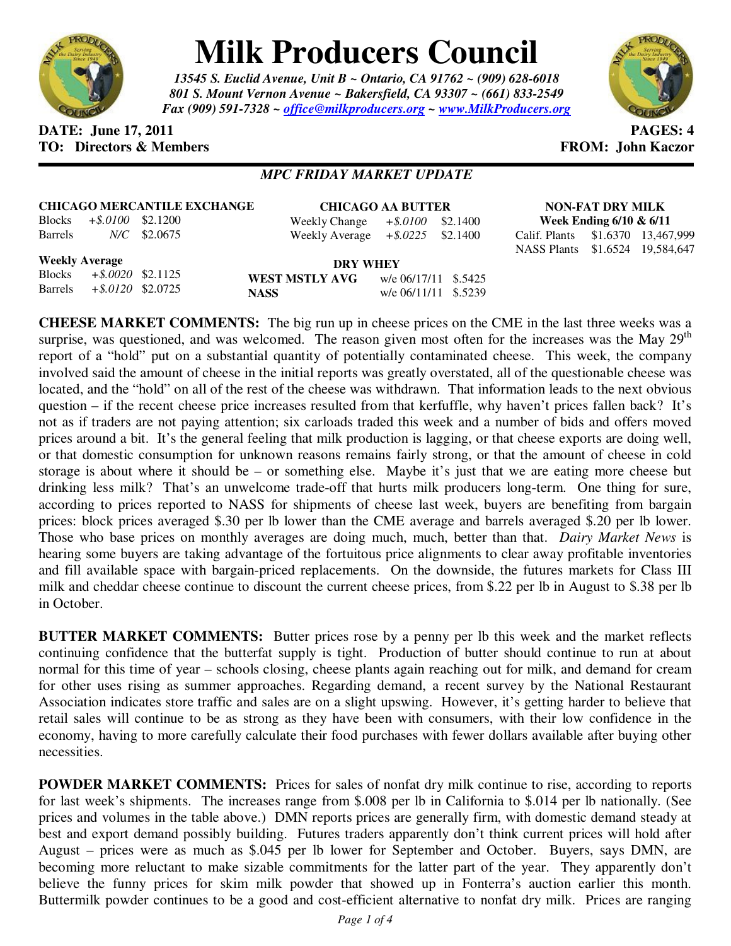

## **Milk Producers Council**

*13545 S. Euclid Avenue, Unit B ~ Ontario, CA 91762 ~ (909) 628-6018 801 S. Mount Vernon Avenue ~ Bakersfield, CA 93307 ~ (661) 833-2549 Fax (909) 591-7328 ~ office@milkproducers.org ~ www.MilkProducers.org*



## **DATE:** June 17, 2011 **PAGES: 4 TO: Directors & Members TO: Piccore All Members FROM: John Kaczor**

Calif. Plants \$1.6370 13,467,999 \$1.6524 19,584,647

## *MPC FRIDAY MARKET UPDATE*

| <b>CHICAGO MERCANTILE EXCHANGE</b> |                                                                                                                                                                                                                                                                                                                                    |                | <b>CHICAGO AA BUTTER</b>            |  |  | NON-FAT DRY MILK              |                            |  |
|------------------------------------|------------------------------------------------------------------------------------------------------------------------------------------------------------------------------------------------------------------------------------------------------------------------------------------------------------------------------------|----------------|-------------------------------------|--|--|-------------------------------|----------------------------|--|
|                                    | Blocks $+$ \$.0100 \$2.1200                                                                                                                                                                                                                                                                                                        |                | Weekly Change $+$ \$.0100 \$2.1400  |  |  |                               | Week Ending $6/10 \& 6/11$ |  |
| Barrels                            |                                                                                                                                                                                                                                                                                                                                    | $N/C$ \$2.0675 | Weekly Average $+$ \$.0225 \$2.1400 |  |  | Calif. Plants \$1.6370 13,467 |                            |  |
|                                    |                                                                                                                                                                                                                                                                                                                                    |                |                                     |  |  | NASS Plants \$1.6524 19,584   |                            |  |
| <b>Weekly Average</b>              | $\mathbf{r}$ $\mathbf{r}$ $\mathbf{r}$ $\mathbf{r}$ $\mathbf{r}$ $\mathbf{r}$ $\mathbf{r}$ $\mathbf{r}$ $\mathbf{r}$ $\mathbf{r}$ $\mathbf{r}$ $\mathbf{r}$ $\mathbf{r}$ $\mathbf{r}$ $\mathbf{r}$ $\mathbf{r}$ $\mathbf{r}$ $\mathbf{r}$ $\mathbf{r}$ $\mathbf{r}$ $\mathbf{r}$ $\mathbf{r}$ $\mathbf{r}$ $\mathbf{r}$ $\mathbf{$ |                | <b>DRY WHEY</b>                     |  |  |                               |                            |  |

Blocks *+\$.0020* \$2.1125 Barrels *+\$.0120* \$2.0725 **WEST MSTLY AVG** w/e 06/17/11 \$.5425 **NASS** w/e 06/11/11 \$.5239

**CHEESE MARKET COMMENTS:** The big run up in cheese prices on the CME in the last three weeks was a surprise, was questioned, and was welcomed. The reason given most often for the increases was the May  $29<sup>th</sup>$ report of a "hold" put on a substantial quantity of potentially contaminated cheese. This week, the company involved said the amount of cheese in the initial reports was greatly overstated, all of the questionable cheese was located, and the "hold" on all of the rest of the cheese was withdrawn. That information leads to the next obvious question – if the recent cheese price increases resulted from that kerfuffle, why haven't prices fallen back? It's not as if traders are not paying attention; six carloads traded this week and a number of bids and offers moved prices around a bit. It's the general feeling that milk production is lagging, or that cheese exports are doing well, or that domestic consumption for unknown reasons remains fairly strong, or that the amount of cheese in cold storage is about where it should be – or something else. Maybe it's just that we are eating more cheese but drinking less milk? That's an unwelcome trade-off that hurts milk producers long-term. One thing for sure, according to prices reported to NASS for shipments of cheese last week, buyers are benefiting from bargain prices: block prices averaged \$.30 per lb lower than the CME average and barrels averaged \$.20 per lb lower. Those who base prices on monthly averages are doing much, much, better than that. *Dairy Market News* is hearing some buyers are taking advantage of the fortuitous price alignments to clear away profitable inventories and fill available space with bargain-priced replacements. On the downside, the futures markets for Class III milk and cheddar cheese continue to discount the current cheese prices, from \$.22 per lb in August to \$.38 per lb in October.

**BUTTER MARKET COMMENTS:** Butter prices rose by a penny per lb this week and the market reflects continuing confidence that the butterfat supply is tight. Production of butter should continue to run at about normal for this time of year – schools closing, cheese plants again reaching out for milk, and demand for cream for other uses rising as summer approaches. Regarding demand, a recent survey by the National Restaurant Association indicates store traffic and sales are on a slight upswing. However, it's getting harder to believe that retail sales will continue to be as strong as they have been with consumers, with their low confidence in the economy, having to more carefully calculate their food purchases with fewer dollars available after buying other necessities.

**POWDER MARKET COMMENTS:** Prices for sales of nonfat dry milk continue to rise, according to reports for last week's shipments. The increases range from \$.008 per lb in California to \$.014 per lb nationally. (See prices and volumes in the table above.) DMN reports prices are generally firm, with domestic demand steady at best and export demand possibly building. Futures traders apparently don't think current prices will hold after August – prices were as much as \$.045 per lb lower for September and October. Buyers, says DMN, are becoming more reluctant to make sizable commitments for the latter part of the year. They apparently don't believe the funny prices for skim milk powder that showed up in Fonterra's auction earlier this month. Buttermilk powder continues to be a good and cost-efficient alternative to nonfat dry milk. Prices are ranging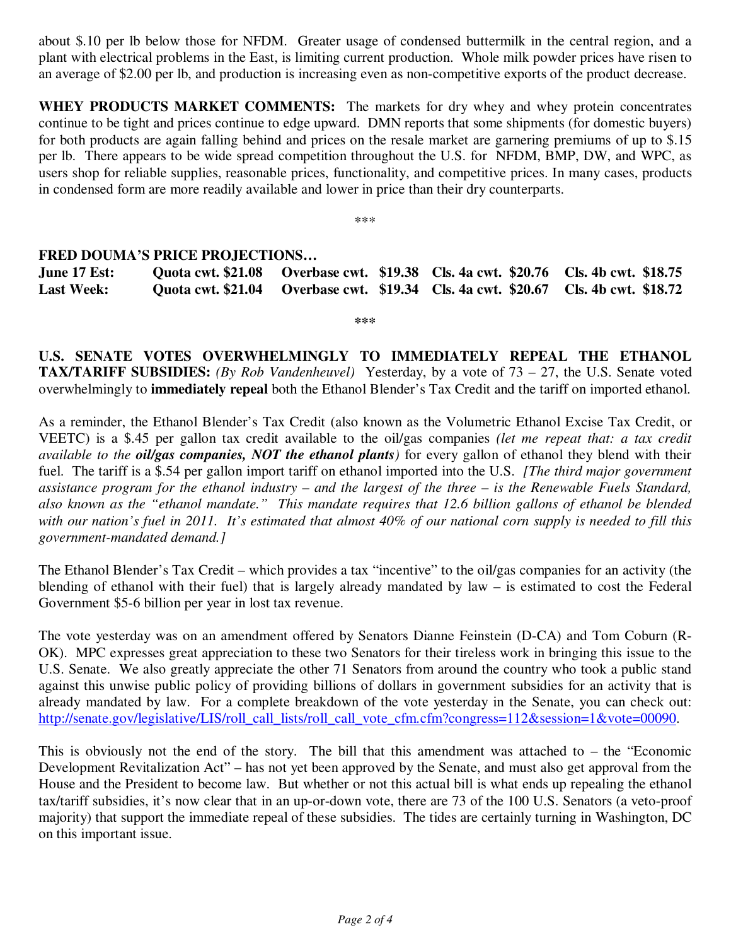about \$.10 per lb below those for NFDM. Greater usage of condensed buttermilk in the central region, and a plant with electrical problems in the East, is limiting current production. Whole milk powder prices have risen to an average of \$2.00 per lb, and production is increasing even as non-competitive exports of the product decrease.

**WHEY PRODUCTS MARKET COMMENTS:** The markets for dry whey and whey protein concentrates continue to be tight and prices continue to edge upward. DMN reports that some shipments (for domestic buyers) for both products are again falling behind and prices on the resale market are garnering premiums of up to \$.15 per lb. There appears to be wide spread competition throughout the U.S. for NFDM, BMP, DW, and WPC, as users shop for reliable supplies, reasonable prices, functionality, and competitive prices. In many cases, products in condensed form are more readily available and lower in price than their dry counterparts.

\*\*\*

## **FRED DOUMA'S PRICE PROJECTIONS…**

**June 17 Est: Quota cwt. \$21.08 Overbase cwt. \$19.38 Cls. 4a cwt. \$20.76 Cls. 4b cwt. \$18.75 Last Week: Quota cwt. \$21.04 Overbase cwt. \$19.34 Cls. 4a cwt. \$20.67 Cls. 4b cwt. \$18.72** 

**\*\*\*** 

**U.S. SENATE VOTES OVERWHELMINGLY TO IMMEDIATELY REPEAL THE ETHANOL TAX/TARIFF SUBSIDIES:** *(By Rob Vandenheuvel)* Yesterday, by a vote of 73 – 27, the U.S. Senate voted overwhelmingly to **immediately repeal** both the Ethanol Blender's Tax Credit and the tariff on imported ethanol.

As a reminder, the Ethanol Blender's Tax Credit (also known as the Volumetric Ethanol Excise Tax Credit, or VEETC) is a \$.45 per gallon tax credit available to the oil/gas companies *(let me repeat that: a tax credit available to the oil/gas companies, NOT the ethanol plants)* for every gallon of ethanol they blend with their fuel. The tariff is a \$.54 per gallon import tariff on ethanol imported into the U.S. *[The third major government assistance program for the ethanol industry – and the largest of the three – is the Renewable Fuels Standard, also known as the "ethanol mandate." This mandate requires that 12.6 billion gallons of ethanol be blended with our nation's fuel in 2011. It's estimated that almost 40% of our national corn supply is needed to fill this government-mandated demand.]*

The Ethanol Blender's Tax Credit – which provides a tax "incentive" to the oil/gas companies for an activity (the blending of ethanol with their fuel) that is largely already mandated by law – is estimated to cost the Federal Government \$5-6 billion per year in lost tax revenue.

The vote yesterday was on an amendment offered by Senators Dianne Feinstein (D-CA) and Tom Coburn (R-OK). MPC expresses great appreciation to these two Senators for their tireless work in bringing this issue to the U.S. Senate. We also greatly appreciate the other 71 Senators from around the country who took a public stand against this unwise public policy of providing billions of dollars in government subsidies for an activity that is already mandated by law. For a complete breakdown of the vote yesterday in the Senate, you can check out: http://senate.gov/legislative/LIS/roll\_call\_lists/roll\_call\_vote\_cfm.cfm?congress=112&session=1&vote=00090.

This is obviously not the end of the story. The bill that this amendment was attached to – the "Economic Development Revitalization Act" – has not yet been approved by the Senate, and must also get approval from the House and the President to become law. But whether or not this actual bill is what ends up repealing the ethanol tax/tariff subsidies, it's now clear that in an up-or-down vote, there are 73 of the 100 U.S. Senators (a veto-proof majority) that support the immediate repeal of these subsidies. The tides are certainly turning in Washington, DC on this important issue.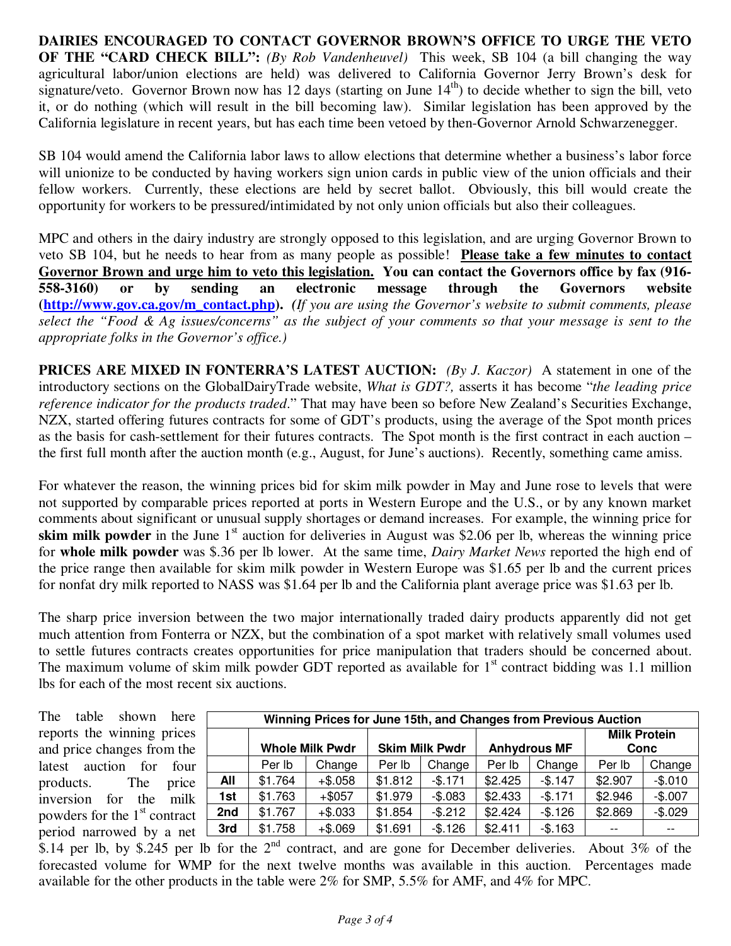**DAIRIES ENCOURAGED TO CONTACT GOVERNOR BROWN'S OFFICE TO URGE THE VETO OF THE "CARD CHECK BILL":** *(By Rob Vandenheuvel)* This week, SB 104 (a bill changing the way agricultural labor/union elections are held) was delivered to California Governor Jerry Brown's desk for signature/veto. Governor Brown now has 12 days (starting on June  $14<sup>th</sup>$ ) to decide whether to sign the bill, veto it, or do nothing (which will result in the bill becoming law). Similar legislation has been approved by the California legislature in recent years, but has each time been vetoed by then-Governor Arnold Schwarzenegger.

SB 104 would amend the California labor laws to allow elections that determine whether a business's labor force will unionize to be conducted by having workers sign union cards in public view of the union officials and their fellow workers. Currently, these elections are held by secret ballot. Obviously, this bill would create the opportunity for workers to be pressured/intimidated by not only union officials but also their colleagues.

MPC and others in the dairy industry are strongly opposed to this legislation, and are urging Governor Brown to veto SB 104, but he needs to hear from as many people as possible! **Please take a few minutes to contact Governor Brown and urge him to veto this legislation. You can contact the Governors office by fax (916- 558-3160) or by sending an electronic message through the Governors website (http://www.gov.ca.gov/m\_contact.php).** *(If you are using the Governor's website to submit comments, please select the "Food & Ag issues/concerns" as the subject of your comments so that your message is sent to the appropriate folks in the Governor's office.)*

**PRICES ARE MIXED IN FONTERRA'S LATEST AUCTION:** *(By J. Kaczor)* A statement in one of the introductory sections on the GlobalDairyTrade website, *What is GDT?,* asserts it has become "*the leading price reference indicator for the products traded*." That may have been so before New Zealand's Securities Exchange, NZX, started offering futures contracts for some of GDT's products, using the average of the Spot month prices as the basis for cash-settlement for their futures contracts. The Spot month is the first contract in each auction – the first full month after the auction month (e.g., August, for June's auctions). Recently, something came amiss.

For whatever the reason, the winning prices bid for skim milk powder in May and June rose to levels that were not supported by comparable prices reported at ports in Western Europe and the U.S., or by any known market comments about significant or unusual supply shortages or demand increases. For example, the winning price for **skim milk powder** in the June  $1<sup>st</sup>$  auction for deliveries in August was \$2.06 per lb, whereas the winning price for **whole milk powder** was \$.36 per lb lower. At the same time, *Dairy Market News* reported the high end of the price range then available for skim milk powder in Western Europe was \$1.65 per lb and the current prices for nonfat dry milk reported to NASS was \$1.64 per lb and the California plant average price was \$1.63 per lb.

The sharp price inversion between the two major internationally traded dairy products apparently did not get much attention from Fonterra or NZX, but the combination of a spot market with relatively small volumes used to settle futures contracts creates opportunities for price manipulation that traders should be concerned about. The maximum volume of skim milk powder GDT reported as available for  $1<sup>st</sup>$  contract bidding was 1.1 million lbs for each of the most recent six auctions.

The table shown here reports the winning prices and price changes from the latest auction for four products. The price inversion for the milk powders for the  $1<sup>st</sup>$  contract period narrowed by a net

| Winning Prices for June 15th, and Changes from Previous Auction |                        |           |                       |          |                     |          |                             |          |  |  |  |  |
|-----------------------------------------------------------------|------------------------|-----------|-----------------------|----------|---------------------|----------|-----------------------------|----------|--|--|--|--|
|                                                                 | <b>Whole Milk Pwdr</b> |           | <b>Skim Milk Pwdr</b> |          | <b>Anhydrous MF</b> |          | <b>Milk Protein</b><br>Conc |          |  |  |  |  |
|                                                                 | Per Ib                 | Change    | Per Ib                | Change   | Per Ib              | Change   | Per Ib                      | Change   |  |  |  |  |
| All                                                             | \$1.764                | $+ $.058$ | \$1.812               | $-$.171$ | \$2.425             | $-$.147$ | \$2.907                     | $-$.010$ |  |  |  |  |
| 1st                                                             | \$1.763                | $+$ \$057 | \$1.979               | $-$.083$ | \$2.433             | $-$.171$ | \$2.946                     | $-$.007$ |  |  |  |  |
| 2nd                                                             | \$1.767                | $+ $.033$ | \$1.854               | $-$.212$ | \$2.424             | $-$.126$ | \$2.869                     | $-$.029$ |  |  |  |  |
| 3rd                                                             | \$1.758                | $+ $.069$ | \$1.691               | $-$.126$ | \$2.411             | $-$.163$ |                             | $- -$    |  |  |  |  |

\$.14 per lb, by \$.245 per lb for the  $2^{nd}$  contract, and are gone for December deliveries. About 3% of the forecasted volume for WMP for the next twelve months was available in this auction. Percentages made available for the other products in the table were 2% for SMP, 5.5% for AMF, and 4% for MPC.